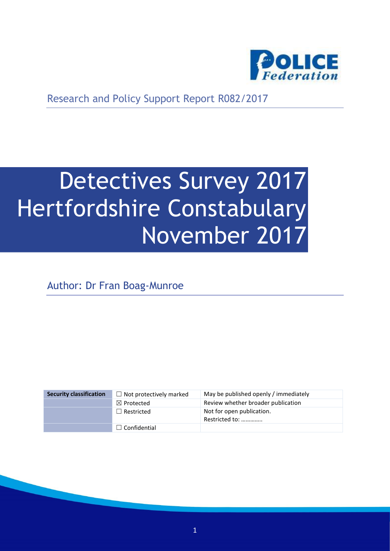

Research and Policy Support Report R082/2017

# Detectives Survey 2017 Hertfordshire Constabulary November 2017

Author: Dr Fran Boag-Munroe

| <b>Security classification</b> | $\Box$ Not protectively marked | May be published openly / immediately       |
|--------------------------------|--------------------------------|---------------------------------------------|
|                                | $\boxtimes$ Protected          | Review whether broader publication          |
|                                | $\Box$ Restricted              | Not for open publication.<br>Restricted to: |
|                                | $\Box$ Confidential            |                                             |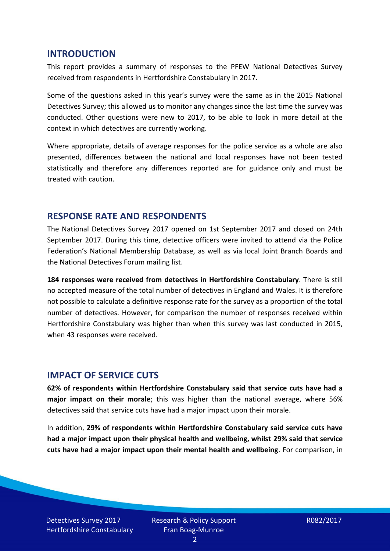#### **INTRODUCTION**

This report provides a summary of responses to the PFEW National Detectives Survey received from respondents in Hertfordshire Constabulary in 2017.

Some of the questions asked in this year's survey were the same as in the 2015 National Detectives Survey; this allowed us to monitor any changes since the last time the survey was conducted. Other questions were new to 2017, to be able to look in more detail at the context in which detectives are currently working.

Where appropriate, details of average responses for the police service as a whole are also presented, differences between the national and local responses have not been tested statistically and therefore any differences reported are for guidance only and must be treated with caution.

#### **RESPONSE RATE AND RESPONDENTS**

The National Detectives Survey 2017 opened on 1st September 2017 and closed on 24th September 2017. During this time, detective officers were invited to attend via the Police Federation's National Membership Database, as well as via local Joint Branch Boards and the National Detectives Forum mailing list.

**184 responses were received from detectives in Hertfordshire Constabulary**. There is still no accepted measure of the total number of detectives in England and Wales. It is therefore not possible to calculate a definitive response rate for the survey as a proportion of the total number of detectives. However, for comparison the number of responses received within Hertfordshire Constabulary was higher than when this survey was last conducted in 2015, when 43 responses were received.

#### **IMPACT OF SERVICE CUTS**

**62% of respondents within Hertfordshire Constabulary said that service cuts have had a major impact on their morale**; this was higher than the national average, where 56% detectives said that service cuts have had a major impact upon their morale.

In addition, **29% of respondents within Hertfordshire Constabulary said service cuts have had a major impact upon their physical health and wellbeing, whilst 29% said that service cuts have had a major impact upon their mental health and wellbeing**. For comparison, in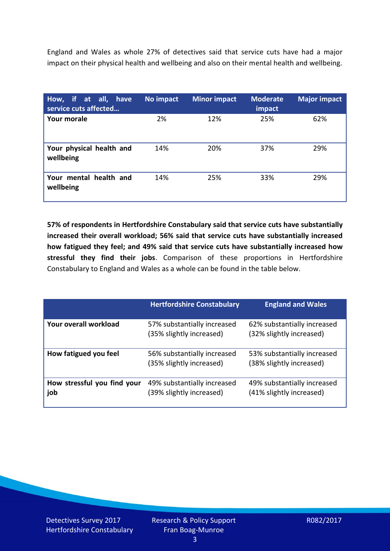England and Wales as whole 27% of detectives said that service cuts have had a major impact on their physical health and wellbeing and also on their mental health and wellbeing.

| How, if at all, have<br>service cuts affected | No impact | <b>Minor impact</b> | <b>Moderate</b><br>impact | <b>Major impact</b> |
|-----------------------------------------------|-----------|---------------------|---------------------------|---------------------|
| <b>Your morale</b>                            | 2%        | 12%                 | 25%                       | 62%                 |
| Your physical health and<br>wellbeing         | 14%       | 20%                 | 37%                       | 29%                 |
| Your mental health and<br>wellbeing           | 14%       | 25%                 | 33%                       | 29%                 |

**57% of respondents in Hertfordshire Constabulary said that service cuts have substantially increased their overall workload; 56% said that service cuts have substantially increased how fatigued they feel; and 49% said that service cuts have substantially increased how stressful they find their jobs**. Comparison of these proportions in Hertfordshire Constabulary to England and Wales as a whole can be found in the table below.

|                                    | <b>Hertfordshire Constabulary</b>                       | <b>England and Wales</b>                                |
|------------------------------------|---------------------------------------------------------|---------------------------------------------------------|
| Your overall workload              | 57% substantially increased<br>(35% slightly increased) | 62% substantially increased<br>(32% slightly increased) |
| How fatigued you feel              | 56% substantially increased<br>(35% slightly increased) | 53% substantially increased<br>(38% slightly increased) |
| How stressful you find your<br>job | 49% substantially increased<br>(39% slightly increased) | 49% substantially increased<br>(41% slightly increased) |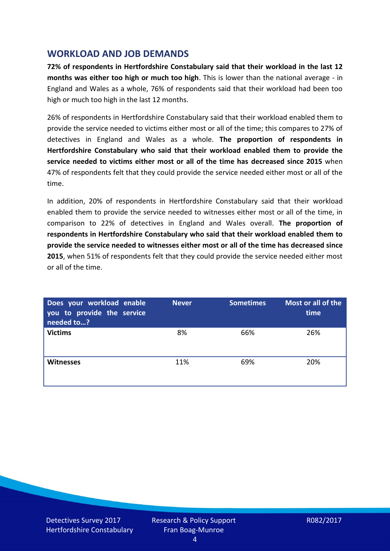## **WORKLOAD AND JOB DEMANDS**

**72% of respondents in Hertfordshire Constabulary said that their workload in the last 12 months was either too high or much too high**. This is lower than the national average - in England and Wales as a whole, 76% of respondents said that their workload had been too high or much too high in the last 12 months.

26% of respondents in Hertfordshire Constabulary said that their workload enabled them to provide the service needed to victims either most or all of the time; this compares to 27% of detectives in England and Wales as a whole. **The proportion of respondents in Hertfordshire Constabulary who said that their workload enabled them to provide the service needed to victims either most or all of the time has decreased since 2015** when 47% of respondents felt that they could provide the service needed either most or all of the time.

In addition, 20% of respondents in Hertfordshire Constabulary said that their workload enabled them to provide the service needed to witnesses either most or all of the time, in comparison to 22% of detectives in England and Wales overall. **The proportion of respondents in Hertfordshire Constabulary who said that their workload enabled them to provide the service needed to witnesses either most or all of the time has decreased since 2015**, when 51% of respondents felt that they could provide the service needed either most or all of the time.

| Does your workload enable<br>you to provide the service<br>needed to? | <b>Never</b> | <b>Sometimes</b> | Most or all of the<br>time |
|-----------------------------------------------------------------------|--------------|------------------|----------------------------|
| <b>Victims</b>                                                        | 8%           | 66%              | 26%                        |
| <b>Witnesses</b>                                                      | 11%          | 69%              | 20%                        |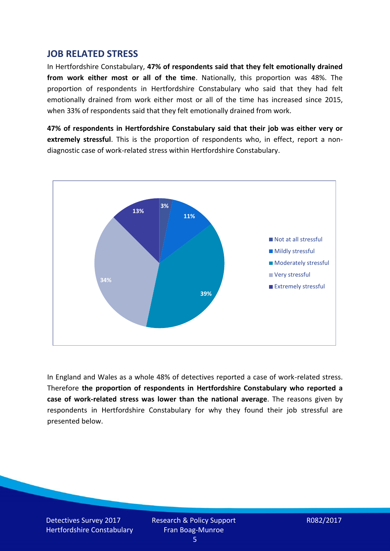## **JOB RELATED STRESS**

In Hertfordshire Constabulary, **47% of respondents said that they felt emotionally drained from work either most or all of the time**. Nationally, this proportion was 48%. The proportion of respondents in Hertfordshire Constabulary who said that they had felt emotionally drained from work either most or all of the time has increased since 2015, when 33% of respondents said that they felt emotionally drained from work.

**47% of respondents in Hertfordshire Constabulary said that their job was either very or extremely stressful**. This is the proportion of respondents who, in effect, report a nondiagnostic case of work-related stress within Hertfordshire Constabulary.



In England and Wales as a whole 48% of detectives reported a case of work-related stress. Therefore **the proportion of respondents in Hertfordshire Constabulary who reported a case of work-related stress was lower than the national average**. The reasons given by respondents in Hertfordshire Constabulary for why they found their job stressful are presented below.

Detectives Survey 2017 Hertfordshire Constabulary Research & Policy Support Fran Boag-Munroe

R082/2017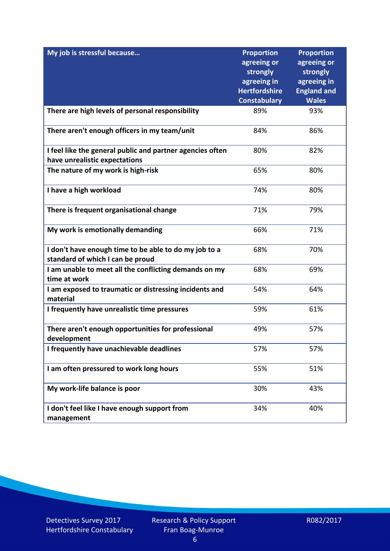| My job is stressful because                                           | <b>Proportion</b>       | <b>Proportion</b>       |
|-----------------------------------------------------------------------|-------------------------|-------------------------|
|                                                                       | agreeing or<br>strongly | agreeing or<br>strongly |
|                                                                       | agreeing in             | agreeing in             |
|                                                                       | <b>Hertfordshire</b>    | <b>England and</b>      |
|                                                                       | <b>Constabulary</b>     | <b>Wales</b>            |
| There are high levels of personal responsibility                      | 89%                     | 93%                     |
| There aren't enough officers in my team/unit                          | 84%                     | 86%                     |
| I feel like the general public and partner agencies often             | 80%                     | 82%                     |
| have unrealistic expectations                                         |                         |                         |
| The nature of my work is high-risk                                    | 65%                     | 80%                     |
| I have a high workload                                                | 74%                     | 80%                     |
| There is frequent organisational change                               | 71%                     | 79%                     |
| My work is emotionally demanding                                      | 66%                     | 71%                     |
| I don't have enough time to be able to do my job to a                 | 68%                     | 70%                     |
| standard of which I can be proud                                      |                         |                         |
| I am unable to meet all the conflicting demands on my<br>time at work | 68%                     | 69%                     |
| I am exposed to traumatic or distressing incidents and<br>material    | 54%                     | 64%                     |
| I frequently have unrealistic time pressures                          | 59%                     | 61%                     |
| There aren't enough opportunities for professional<br>development     | 49%                     | 57%                     |
| I frequently have unachievable deadlines                              | 57%                     | 57%                     |
| I am often pressured to work long hours                               | 55%                     | 51%                     |
| My work-life balance is poor                                          | 30%                     | 43%                     |
| I don't feel like I have enough support from<br>management            | 34%                     | 40%                     |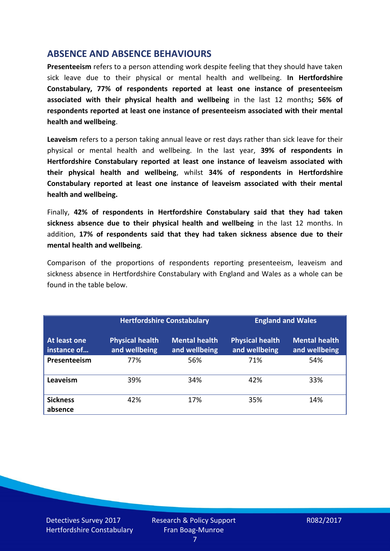## **ABSENCE AND ABSENCE BEHAVIOURS**

**Presenteeism** refers to a person attending work despite feeling that they should have taken sick leave due to their physical or mental health and wellbeing. **In Hertfordshire Constabulary, 77% of respondents reported at least one instance of presenteeism associated with their physical health and wellbeing** in the last 12 months**; 56% of respondents reported at least one instance of presenteeism associated with their mental health and wellbeing**.

**Leaveism** refers to a person taking annual leave or rest days rather than sick leave for their physical or mental health and wellbeing. In the last year, **39% of respondents in Hertfordshire Constabulary reported at least one instance of leaveism associated with their physical health and wellbeing**, whilst **34% of respondents in Hertfordshire Constabulary reported at least one instance of leaveism associated with their mental health and wellbeing.**

Finally, **42% of respondents in Hertfordshire Constabulary said that they had taken sickness absence due to their physical health and wellbeing** in the last 12 months. In addition, **17% of respondents said that they had taken sickness absence due to their mental health and wellbeing**.

Comparison of the proportions of respondents reporting presenteeism, leaveism and sickness absence in Hertfordshire Constabulary with England and Wales as a whole can be found in the table below.

|                             | <b>Hertfordshire Constabulary</b>       |                                       | <b>England and Wales</b>                |                                       |
|-----------------------------|-----------------------------------------|---------------------------------------|-----------------------------------------|---------------------------------------|
| At least one<br>instance of | <b>Physical health</b><br>and wellbeing | <b>Mental health</b><br>and wellbeing | <b>Physical health</b><br>and wellbeing | <b>Mental health</b><br>and wellbeing |
| Presenteeism                | 77%                                     | 56%                                   | 71%                                     | 54%                                   |
| Leaveism                    | 39%                                     | 34%                                   | 42%                                     | 33%                                   |
| <b>Sickness</b><br>absence  | 42%                                     | 17%                                   | 35%                                     | 14%                                   |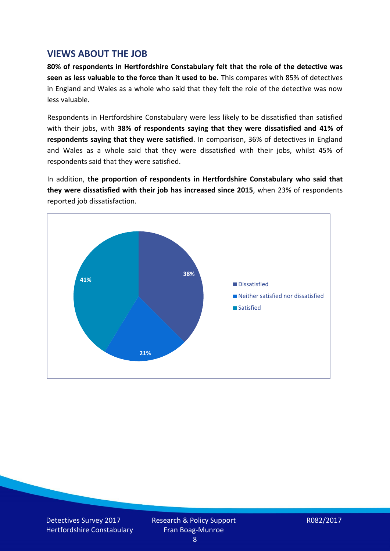## **VIEWS ABOUT THE JOB**

**80% of respondents in Hertfordshire Constabulary felt that the role of the detective was seen as less valuable to the force than it used to be.** This compares with 85% of detectives in England and Wales as a whole who said that they felt the role of the detective was now less valuable.

Respondents in Hertfordshire Constabulary were less likely to be dissatisfied than satisfied with their jobs, with **38% of respondents saying that they were dissatisfied and 41% of respondents saying that they were satisfied**. In comparison, 36% of detectives in England and Wales as a whole said that they were dissatisfied with their jobs, whilst 45% of respondents said that they were satisfied.

In addition, **the proportion of respondents in Hertfordshire Constabulary who said that they were dissatisfied with their job has increased since 2015**, when 23% of respondents reported job dissatisfaction.



Detectives Survey 2017 Hertfordshire Constabulary Research & Policy Support Fran Boag-Munroe

R082/2017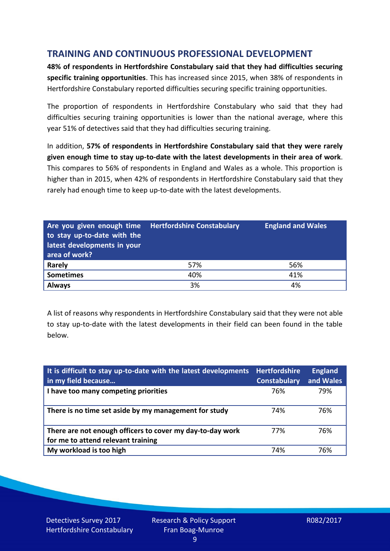# **TRAINING AND CONTINUOUS PROFESSIONAL DEVELOPMENT**

**48% of respondents in Hertfordshire Constabulary said that they had difficulties securing specific training opportunities**. This has increased since 2015, when 38% of respondents in Hertfordshire Constabulary reported difficulties securing specific training opportunities.

The proportion of respondents in Hertfordshire Constabulary who said that they had difficulties securing training opportunities is lower than the national average, where this year 51% of detectives said that they had difficulties securing training.

In addition, **57% of respondents in Hertfordshire Constabulary said that they were rarely given enough time to stay up-to-date with the latest developments in their area of work**. This compares to 56% of respondents in England and Wales as a whole. This proportion is higher than in 2015, when 42% of respondents in Hertfordshire Constabulary said that they rarely had enough time to keep up-to-date with the latest developments.

| Are you given enough time<br>to stay up-to-date with the<br>latest developments in your<br>area of work? | <b>Hertfordshire Constabulary</b> | <b>England and Wales</b> |
|----------------------------------------------------------------------------------------------------------|-----------------------------------|--------------------------|
| <b>Rarely</b>                                                                                            | 57%                               | 56%                      |
| <b>Sometimes</b>                                                                                         | 40%                               | 41%                      |
| <b>Always</b>                                                                                            | 3%                                | 4%                       |

A list of reasons why respondents in Hertfordshire Constabulary said that they were not able to stay up-to-date with the latest developments in their field can been found in the table below.

| It is difficult to stay up-to-date with the latest developments<br>in my field because          | <b>Hertfordshire</b><br><b>Constabulary</b> | <b>England</b><br>and Wales |
|-------------------------------------------------------------------------------------------------|---------------------------------------------|-----------------------------|
| I have too many competing priorities                                                            | 76%                                         | 79%                         |
| There is no time set aside by my management for study                                           | 74%                                         | 76%                         |
| There are not enough officers to cover my day-to-day work<br>for me to attend relevant training | 77%                                         | 76%                         |
| My workload is too high                                                                         | 74%                                         | 76%                         |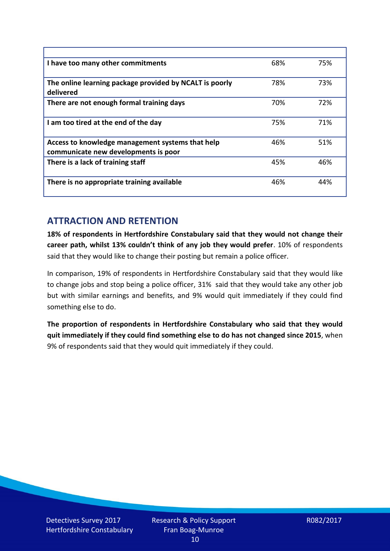| I have too many other commitments                                                        | 68% | 75% |
|------------------------------------------------------------------------------------------|-----|-----|
| The online learning package provided by NCALT is poorly<br>delivered                     | 78% | 73% |
| There are not enough formal training days                                                | 70% | 72% |
| I am too tired at the end of the day                                                     | 75% | 71% |
| Access to knowledge management systems that help<br>communicate new developments is poor | 46% | 51% |
| There is a lack of training staff                                                        | 45% | 46% |
| There is no appropriate training available                                               | 46% | 44% |

# **ATTRACTION AND RETENTION**

**18% of respondents in Hertfordshire Constabulary said that they would not change their career path, whilst 13% couldn't think of any job they would prefer**. 10% of respondents said that they would like to change their posting but remain a police officer.

In comparison, 19% of respondents in Hertfordshire Constabulary said that they would like to change jobs and stop being a police officer, 31% said that they would take any other job but with similar earnings and benefits, and 9% would quit immediately if they could find something else to do.

**The proportion of respondents in Hertfordshire Constabulary who said that they would quit immediately if they could find something else to do has not changed since 2015**, when 9% of respondents said that they would quit immediately if they could.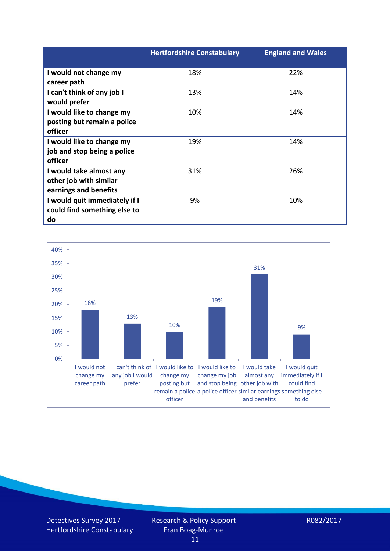|                               | <b>Hertfordshire Constabulary</b> | <b>England and Wales</b> |
|-------------------------------|-----------------------------------|--------------------------|
| I would not change my         | 18%                               | 22%                      |
| career path                   |                                   |                          |
| I can't think of any job I    | 13%                               | 14%                      |
| would prefer                  |                                   |                          |
| I would like to change my     | 10%                               | 14%                      |
| posting but remain a police   |                                   |                          |
| officer                       |                                   |                          |
| I would like to change my     | 19%                               | 14%                      |
| job and stop being a police   |                                   |                          |
| officer                       |                                   |                          |
| I would take almost any       | 31%                               | 26%                      |
| other job with similar        |                                   |                          |
| earnings and benefits         |                                   |                          |
| I would quit immediately if I | 9%                                | 10%                      |
| could find something else to  |                                   |                          |
| do                            |                                   |                          |